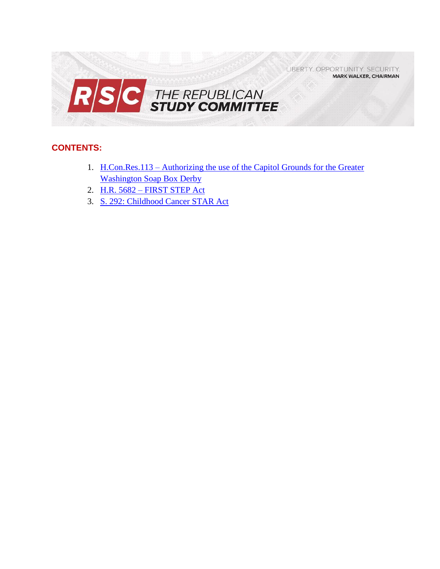

# **CONTENTS:**

- 1. H.Con.Res.113 [Authorizing the use of the Capitol Grounds for the Greater](#page-1-0)  [Washington Soap Box Derby](#page-1-0)
- 2. H.R. 5682 [FIRST STEP Act](#page-2-0)
- 3. [S. 292: Childhood Cancer STAR Act](#page-8-0)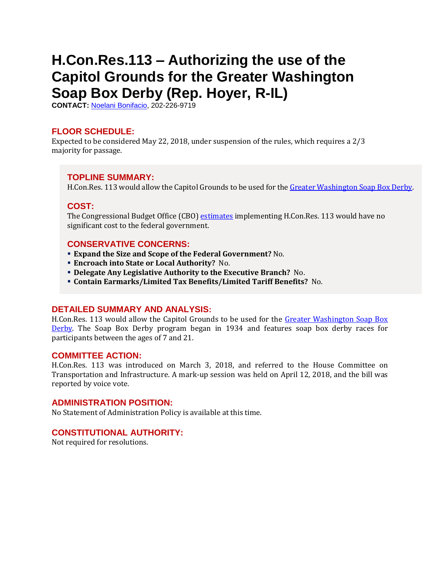# <span id="page-1-0"></span>**H.Con.Res.113 – Authorizing the use of the Capitol Grounds for the Greater Washington Soap Box Derby (Rep. Hoyer, R-IL)**

**CONTACT:** [Noelani Bonifacio,](mailto:Noelani.Bonifacio@mail.house.gov) 202-226-9719

## **FLOOR SCHEDULE:**

Expected to be considered May 22, 2018, under suspension of the rules, which requires a 2/3 majority for passage.

## **TOPLINE SUMMARY:**

H.Con.Res. 113 would allow the Capitol Grounds to be used for th[e Greater Washington Soap Box Derby.](https://www.soapboxderby.org/greater-washington.aspx)

## **COST:**

The Congressional Budget Office (CBO) [estimates](https://www.cbo.gov/system/files/115th-congress-2017-2018/costestimate/hconres113.pdf) implementing H.Con.Res. 113 would have no significant cost to the federal government.

## **CONSERVATIVE CONCERNS:**

- **Expand the Size and Scope of the Federal Government?** No.
- **Encroach into State or Local Authority?** No.
- **Delegate Any Legislative Authority to the Executive Branch?** No.
- **Contain Earmarks/Limited Tax Benefits/Limited Tariff Benefits?** No.

## **DETAILED SUMMARY AND ANALYSIS:**

H.Con.Res. 113 would allow the Capitol Grounds to be used for the [Greater Washington Soap Box](https://www.soapboxderby.org/greater-washington.aspx)  [Derby.](https://www.soapboxderby.org/greater-washington.aspx) The Soap Box Derby program began in 1934 and features soap box derby races for participants between the ages of 7 and 21.

#### **COMMITTEE ACTION:**

H.Con.Res. 113 was introduced on March 3, 2018, and referred to the House Committee on Transportation and Infrastructure. A mark-up session was held on April 12, 2018, and the bill was reported by voice vote.

## **ADMINISTRATION POSITION:**

No Statement of Administration Policy is available at this time.

## **CONSTITUTIONAL AUTHORITY:**

Not required for resolutions.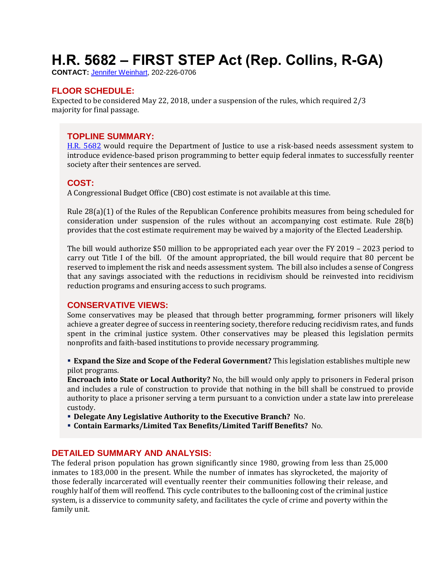# <span id="page-2-0"></span>**H.R. 5682 – FIRST STEP Act (Rep. Collins, R-GA)**

**CONTACT:** [Jennifer Weinhart,](mailto:jennifer.weinhart@mail.house.gov) 202-226-0706

# **FLOOR SCHEDULE:**

Expected to be considered May 22, 2018, under a suspension of the rules, which required 2/3 majority for final passage.

# **TOPLINE SUMMARY:**

[H.R. 5682](https://docs.house.gov/billsthisweek/20180521/HR5682.pdf) would require the Department of Justice to use a risk-based needs assessment system to introduce evidence-based prison programming to better equip federal inmates to successfully reenter society after their sentences are served.

## **COST:**

A Congressional Budget Office (CBO) cost estimate is not available at this time.

Rule 28(a)(1) of the Rules of the Republican Conference prohibits measures from being scheduled for consideration under suspension of the rules without an accompanying cost estimate. Rule 28(b) provides that the cost estimate requirement may be waived by a majority of the Elected Leadership.

The bill would authorize \$50 million to be appropriated each year over the FY 2019 – 2023 period to carry out Title I of the bill. Of the amount appropriated, the bill would require that 80 percent be reserved to implement the risk and needs assessment system. The bill also includes a sense of Congress that any savings associated with the reductions in recidivism should be reinvested into recidivism reduction programs and ensuring access to such programs.

# **CONSERVATIVE VIEWS:**

Some conservatives may be pleased that through better programming, former prisoners will likely achieve a greater degree of success in reentering society, therefore reducing recidivism rates, and funds spent in the criminal justice system. Other conservatives may be pleased this legislation permits nonprofits and faith-based institutions to provide necessary programming.

 **Expand the Size and Scope of the Federal Government?** This legislation establishes multiple new pilot programs.

**Encroach into State or Local Authority?** No, the bill would only apply to prisoners in Federal prison and includes a rule of construction to provide that nothing in the bill shall be construed to provide authority to place a prisoner serving a term pursuant to a conviction under a state law into prerelease custody.

- **Delegate Any Legislative Authority to the Executive Branch?** No.
- **Contain Earmarks/Limited Tax Benefits/Limited Tariff Benefits?** No.

## **DETAILED SUMMARY AND ANALYSIS:**

The federal prison population has grown significantly since 1980, growing from less than 25,000 inmates to 183,000 in the present. While the number of inmates has skyrocketed, the majority of those federally incarcerated will eventually reenter their communities following their release, and roughly half of them will reoffend. This cycle contributes to the ballooning cost of the criminal justice system, is a disservice to community safety, and facilitates the cycle of crime and poverty within the family unit.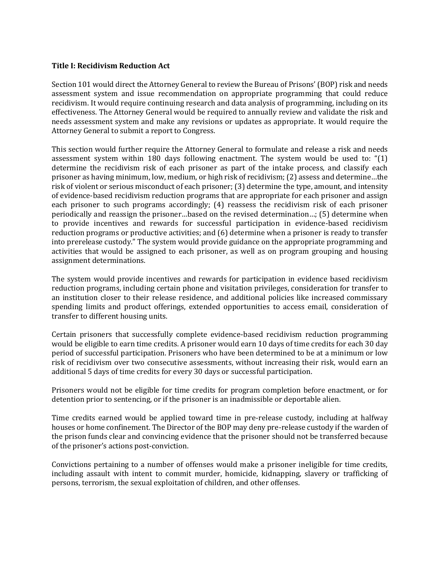#### **Title I: Recidivism Reduction Act**

Section 101 would direct the Attorney General to review the Bureau of Prisons' (BOP) risk and needs assessment system and issue recommendation on appropriate programming that could reduce recidivism. It would require continuing research and data analysis of programming, including on its effectiveness. The Attorney General would be required to annually review and validate the risk and needs assessment system and make any revisions or updates as appropriate. It would require the Attorney General to submit a report to Congress.

This section would further require the Attorney General to formulate and release a risk and needs assessment system within 180 days following enactment. The system would be used to: "(1) determine the recidivism risk of each prisoner as part of the intake process, and classify each prisoner as having minimum, low, medium, or high risk of recidivism; (2) assess and determine…the risk of violent or serious misconduct of each prisoner; (3) determine the type, amount, and intensity of evidence-based recidivism reduction programs that are appropriate for each prisoner and assign each prisoner to such programs accordingly; (4) reassess the recidivism risk of each prisoner periodically and reassign the prisoner…based on the revised determination…; (5) determine when to provide incentives and rewards for successful participation in evidence-based recidivism reduction programs or productive activities; and (6) determine when a prisoner is ready to transfer into prerelease custody." The system would provide guidance on the appropriate programming and activities that would be assigned to each prisoner, as well as on program grouping and housing assignment determinations.

The system would provide incentives and rewards for participation in evidence based recidivism reduction programs, including certain phone and visitation privileges, consideration for transfer to an institution closer to their release residence, and additional policies like increased commissary spending limits and product offerings, extended opportunities to access email, consideration of transfer to different housing units.

Certain prisoners that successfully complete evidence-based recidivism reduction programming would be eligible to earn time credits. A prisoner would earn 10 days of time credits for each 30 day period of successful participation. Prisoners who have been determined to be at a minimum or low risk of recidivism over two consecutive assessments, without increasing their risk, would earn an additional 5 days of time credits for every 30 days or successful participation.

Prisoners would not be eligible for time credits for program completion before enactment, or for detention prior to sentencing, or if the prisoner is an inadmissible or deportable alien.

Time credits earned would be applied toward time in pre-release custody, including at halfway houses or home confinement. The Director of the BOP may deny pre-release custody if the warden of the prison funds clear and convincing evidence that the prisoner should not be transferred because of the prisoner's actions post-conviction.

Convictions pertaining to a number of offenses would make a prisoner ineligible for time credits, including assault with intent to commit murder, homicide, kidnapping, slavery or trafficking of persons, terrorism, the sexual exploitation of children, and other offenses.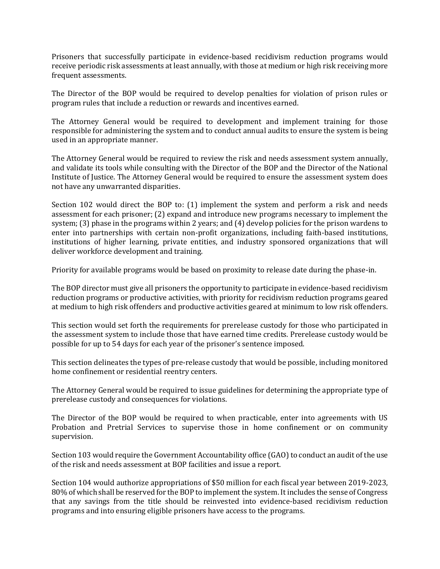Prisoners that successfully participate in evidence-based recidivism reduction programs would receive periodic risk assessments at least annually, with those at medium or high risk receiving more frequent assessments.

The Director of the BOP would be required to develop penalties for violation of prison rules or program rules that include a reduction or rewards and incentives earned.

The Attorney General would be required to development and implement training for those responsible for administering the system and to conduct annual audits to ensure the system is being used in an appropriate manner.

The Attorney General would be required to review the risk and needs assessment system annually, and validate its tools while consulting with the Director of the BOP and the Director of the National Institute of Justice. The Attorney General would be required to ensure the assessment system does not have any unwarranted disparities.

Section 102 would direct the BOP to: (1) implement the system and perform a risk and needs assessment for each prisoner; (2) expand and introduce new programs necessary to implement the system; (3) phase in the programs within 2 years; and (4) develop policies for the prison wardens to enter into partnerships with certain non-profit organizations, including faith-based institutions, institutions of higher learning, private entities, and industry sponsored organizations that will deliver workforce development and training.

Priority for available programs would be based on proximity to release date during the phase-in.

The BOP director must give all prisoners the opportunity to participate in evidence-based recidivism reduction programs or productive activities, with priority for recidivism reduction programs geared at medium to high risk offenders and productive activities geared at minimum to low risk offenders.

This section would set forth the requirements for prerelease custody for those who participated in the assessment system to include those that have earned time credits. Prerelease custody would be possible for up to 54 days for each year of the prisoner's sentence imposed.

This section delineates the types of pre-release custody that would be possible, including monitored home confinement or residential reentry centers.

The Attorney General would be required to issue guidelines for determining the appropriate type of prerelease custody and consequences for violations.

The Director of the BOP would be required to when practicable, enter into agreements with US Probation and Pretrial Services to supervise those in home confinement or on community supervision.

Section 103 would require the Government Accountability office (GAO) to conduct an audit of the use of the risk and needs assessment at BOP facilities and issue a report.

Section 104 would authorize appropriations of \$50 million for each fiscal year between 2019-2023, 80% of which shall be reserved for the BOP to implement the system. It includes the sense of Congress that any savings from the title should be reinvested into evidence-based recidivism reduction programs and into ensuring eligible prisoners have access to the programs.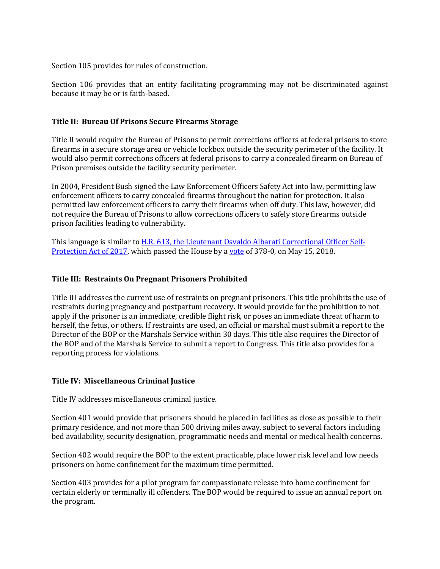Section 105 provides for rules of construction.

Section 106 provides that an entity facilitating programming may not be discriminated against because it may be or is faith-based.

#### **Title II: Bureau Of Prisons Secure Firearms Storage**

Title II would require the Bureau of Prisons to permit corrections officers at federal prisons to store firearms in a secure storage area or vehicle lockbox outside the security perimeter of the facility. It would also permit corrections officers at federal prisons to carry a concealed firearm on Bureau of Prison premises outside the facility security perimeter.

In 2004, President Bush signed the Law Enforcement Officers Safety Act into law, permitting law enforcement officers to carry concealed firearms throughout the nation for protection. It also permitted law enforcement officers to carry their firearms when off duty. This law, however, did not require the Bureau of Prisons to allow corrections officers to safely store firearms outside prison facilities leading to vulnerability.

This language is similar to [H.R. 613, the Lieutenant Osvaldo Albarati Correctional Officer Self-](https://gallery.mailchimp.com/d4254037a343b683d142111e0/files/fe587054-616e-42b8-b0b5-b2140d620318/Legislative_Bulletin_Suspensions__May_15_2018.docx.pdf)[Protection Act of 2017,](https://gallery.mailchimp.com/d4254037a343b683d142111e0/files/fe587054-616e-42b8-b0b5-b2140d620318/Legislative_Bulletin_Suspensions__May_15_2018.docx.pdf) which passed the House by [a vote](http://clerk.house.gov/evs/2018/roll181.xml) of 378-0, on May 15, 2018.

#### **Title III: Restraints On Pregnant Prisoners Prohibited**

Title III addresses the current use of restraints on pregnant prisoners. This title prohibits the use of restraints during pregnancy and postpartum recovery. It would provide for the prohibition to not apply if the prisoner is an immediate, credible flight risk, or poses an immediate threat of harm to herself, the fetus, or others. If restraints are used, an official or marshal must submit a report to the Director of the BOP or the Marshals Service within 30 days. This title also requires the Director of the BOP and of the Marshals Service to submit a report to Congress. This title also provides for a reporting process for violations.

## **Title IV: Miscellaneous Criminal Justice**

Title IV addresses miscellaneous criminal justice.

Section 401 would provide that prisoners should be placed in facilities as close as possible to their primary residence, and not more than 500 driving miles away, subject to several factors including bed availability, security designation, programmatic needs and mental or medical health concerns.

Section 402 would require the BOP to the extent practicable, place lower risk level and low needs prisoners on home confinement for the maximum time permitted.

Section 403 provides for a pilot program for compassionate release into home confinement for certain elderly or terminally ill offenders. The BOP would be required to issue an annual report on the program.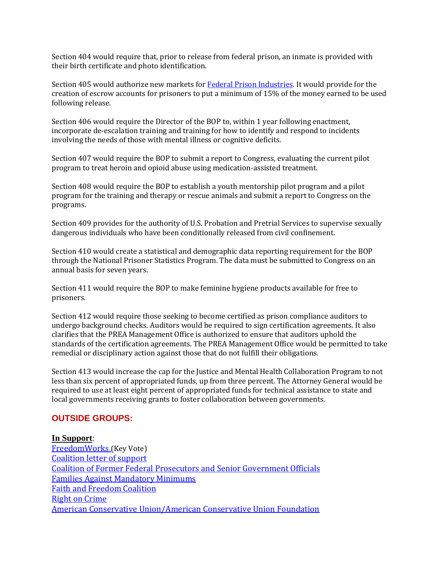Section 404 would require that, prior to release from federal prison, an inmate is provided with their birth certificate and photo identification.

Section 405 would authorize new markets fo[r Federal Prison Industries.](https://www.bop.gov/inmates/custody_and_care/unicor.jsp) It would provide for the creation of escrow accounts for prisoners to put a minimum of 15% of the money earned to be used following release.

Section 406 would require the Director of the BOP to, within 1 year following enactment, incorporate de-escalation training and training for how to identify and respond to incidents involving the needs of those with mental illness or cognitive deficits.

Section 407 would require the BOP to submit a report to Congress, evaluating the current pilot program to treat heroin and opioid abuse using medication-assisted treatment.

Section 408 would require the BOP to establish a youth mentorship pilot program and a pilot program for the training and therapy or rescue animals and submit a report to Congress on the programs.

Section 409 provides for the authority of U.S. Probation and Pretrial Services to supervise sexually dangerous individuals who have been conditionally released from civil confinement.

Section 410 would create a statistical and demographic data reporting requirement for the BOP through the National Prisoner Statistics Program. The data must be submitted to Congress on an annual basis for seven years.

Section 411 would require the BOP to make feminine hygiene products available for free to prisoners.

Section 412 would require those seeking to become certified as prison compliance auditors to undergo background checks. Auditors would be required to sign certification agreements. It also clarifies that the PREA Management Office is authorized to ensure that auditors uphold the standards of the certification agreements. The PREA Management Office would be permitted to take remedial or disciplinary action against those that do not fulfill their obligations.

Section 413 would increase the cap for the Justice and Mental Health Collaboration Program to not less than six percent of appropriated funds, up from three percent. The Attorney General would be required to use at least eight percent of appropriated funds for technical assistance to state and local governments receiving grants to foster collaboration between governments.

# **OUTSIDE GROUPS:**

## **In Support**:

[FreedomWorks](http://www.freedomworks.org/content/key-vote-yes-first-step-act-hr-5682) (Key Vote) [Coalition letter of support](https://judiciary.house.gov/wp-content/uploads/2018/05/The-FIRST-STEP-Act-coalition-sign-on-letter_May.18.18_FINAL.pdf) [Coalition of Former Federal Prosecutors and Senior Government Officials](https://dougcollins.house.gov/sites/dougcollins.house.gov/files/Former%20Fed%20Prosecutor%20Letter%20%20-%20FIRST%20STEP%20Act%20May9.2018.pdf) [Families Against Mandatory Minimums](https://famm.org/famm-supports-first-step-act/) [Faith and Freedom Coalition](https://judiciary.house.gov/wp-content/uploads/2018/05/FIRST-STEP-Endorsement-Letter-FFC-20180508.pdf) [Right on Crime](http://rightoncrime.com/2018/05/right-on-crime-statement-on-judiciary-committee-passage-of-first-step-act/) [American Conservative Union/American Conservative Union Foundation](http://justice.acu.foundation/conservatives_praise_passage_of_prison_reform_legislation)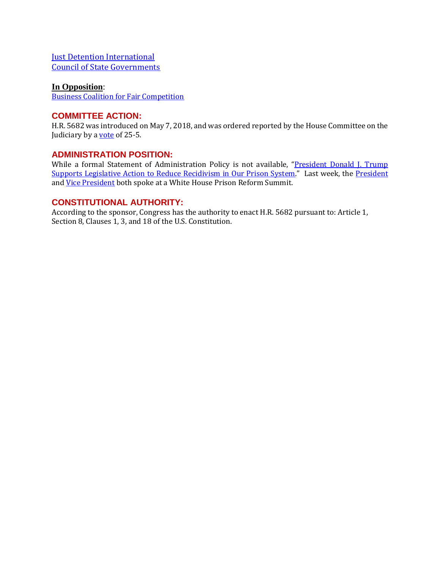**[Just Detention International](https://judiciary.house.gov/wp-content/uploads/2018/05/JDI-Letter-of-Support.pdf)** [Council of State Governments](https://judiciary.house.gov/wp-content/uploads/2018/05/CSG-Letter-of-Support-for-Prison-Reform-Bill-5.9.18.pdf)

#### **In Opposition**:

[Business Coalition for Fair Competition](https://www.facebook.com/FairCompetition/posts/1796503313703664) 

## **COMMITTEE ACTION:**

H.R. 5682 was introduced on May 7, 2018, and was ordered reported by the House Committee on the Judiciary by a **vote** of 25-5.

## **ADMINISTRATION POSITION:**

While a formal Statement of Administration Policy is not available, "President Donald J. Trump [Supports Legislative Action to Reduce Recidivism in Our Prison System](https://www.whitehouse.gov/briefings-statements/president-donald-j-trump-supports-legislative-action-reduce-recidivism-prison-system/)." Last week, the [President](https://www.whitehouse.gov/briefings-statements/remarks-president-trump-white-house-prison-reform-summit/) and [Vice President](https://www.whitehouse.gov/briefings-statements/remarks-vice-president-pence-white-house-prison-reform-summit/) both spoke at a White House Prison Reform Summit.

# **CONSTITUTIONAL AUTHORITY:**

According to the sponsor, Congress has the authority to enact H.R. 5682 pursuant to: Article 1, Section 8, Clauses 1, 3, and 18 of the U.S. Constitution.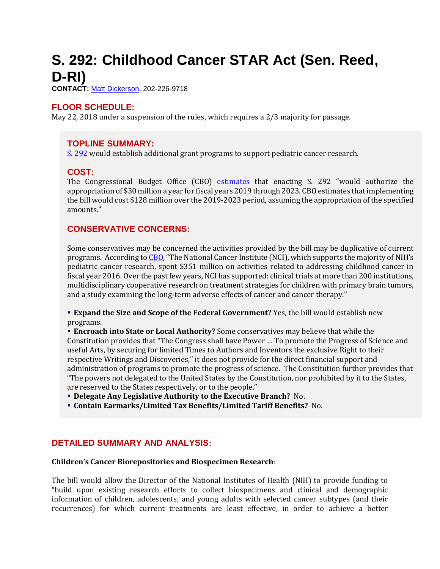# <span id="page-8-0"></span>**S. 292: Childhood Cancer STAR Act (Sen. Reed, D-RI)**

**CONTACT:** [Matt Dickerson,](mailto:Matthew.Dickerson@mail.house.gov) 202-226-9718

# **FLOOR SCHEDULE:**

May 22, 2018 under a suspension of the rules, which requires a 2/3 majority for passage.

## **TOPLINE SUMMARY:**

[S. 292](https://www.gpo.gov/fdsys/pkg/BILLS-115s292rfh/pdf/BILLS-115s292rfh.pdf) would establish additional grant programs to support pediatric cancer research.

## **COST:**

The Congressional Budget Office (CBO) [estimates](https://www.cbo.gov/system/files/115th-congress-2017-2018/costestimate/s292_0.pdf) that enacting S. 292 "would authorize the appropriation of \$30 million a year for fiscal years 2019 through 2023. CBO estimates that implementing the bill would cost \$128 million over the 2019-2023 period, assuming the appropriation of the specified amounts."

# **CONSERVATIVE CONCERNS:**

Some conservatives may be concerned the activities provided by the bill may be duplicative of current programs. According t[o CBO](https://www.cbo.gov/system/files/115th-congress-2017-2018/costestimate/s292_0.pdf), "The National Cancer Institute (NCI), which supports the majority of NIH's pediatric cancer research, spent \$351 million on activities related to addressing childhood cancer in fiscal year 2016. Over the past few years, NCI has supported: clinical trials at more than 200 institutions, multidisciplinary cooperative research on treatment strategies for children with primary brain tumors, and a study examining the long-term adverse effects of cancer and cancer therapy."

**Expand the Size and Scope of the Federal Government?** Yes, the bill would establish new programs.

 **Encroach into State or Local Authority?** Some conservatives may believe that while the Constitution provides that "The Congress shall have Power … To promote the Progress of Science and useful Arts, by securing for limited Times to Authors and Inventors the exclusive Right to their respective Writings and Discoveries," it does not provide for the direct financial support and administration of programs to promote the progress of science. The Constitution further provides that "The powers not delegated to the United States by the Constitution, nor prohibited by it to the States, are reserved to the States respectively, or to the people."

**Delegate Any Legislative Authority to the Executive Branch?** No.

**Contain Earmarks/Limited Tax Benefits/Limited Tariff Benefits?** No.

## **DETAILED SUMMARY AND ANALYSIS:**

#### **Children's Cancer Biorepositories and Biospecimen Research**:

The bill would allow the Director of the National Institutes of Health (NIH) to provide funding to "build upon existing research efforts to collect biospecimens and clinical and demographic information of children, adolescents, and young adults with selected cancer subtypes (and their recurrences) for which current treatments are least effective, in order to achieve a better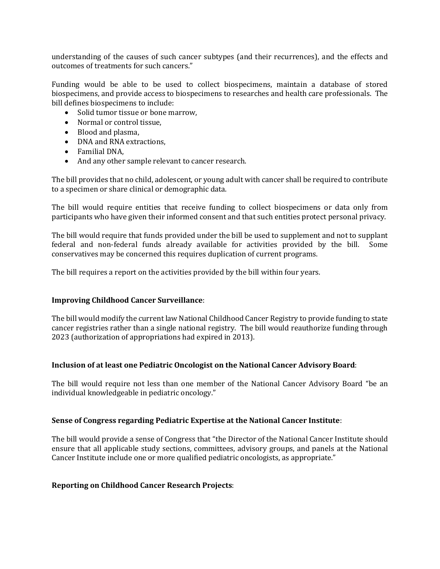understanding of the causes of such cancer subtypes (and their recurrences), and the effects and outcomes of treatments for such cancers."

Funding would be able to be used to collect biospecimens, maintain a database of stored biospecimens, and provide access to biospecimens to researches and health care professionals. The bill defines biospecimens to include:

- Solid tumor tissue or bone marrow,
- Normal or control tissue,
- Blood and plasma,
- DNA and RNA extractions,
- Familial DNA,
- And any other sample relevant to cancer research.

The bill provides that no child, adolescent, or young adult with cancer shall be required to contribute to a specimen or share clinical or demographic data.

The bill would require entities that receive funding to collect biospecimens or data only from participants who have given their informed consent and that such entities protect personal privacy.

The bill would require that funds provided under the bill be used to supplement and not to supplant federal and non-federal funds already available for activities provided by the bill. Some conservatives may be concerned this requires duplication of current programs.

The bill requires a report on the activities provided by the bill within four years.

#### **Improving Childhood Cancer Surveillance**:

The bill would modify the current law National Childhood Cancer Registry to provide funding to state cancer registries rather than a single national registry. The bill would reauthorize funding through 2023 (authorization of appropriations had expired in 2013).

#### **Inclusion of at least one Pediatric Oncologist on the National Cancer Advisory Board**:

The bill would require not less than one member of the National Cancer Advisory Board "be an individual knowledgeable in pediatric oncology."

#### **Sense of Congress regarding Pediatric Expertise at the National Cancer Institute**:

The bill would provide a sense of Congress that "the Director of the National Cancer Institute should ensure that all applicable study sections, committees, advisory groups, and panels at the National Cancer Institute include one or more qualified pediatric oncologists, as appropriate."

#### **Reporting on Childhood Cancer Research Projects**: